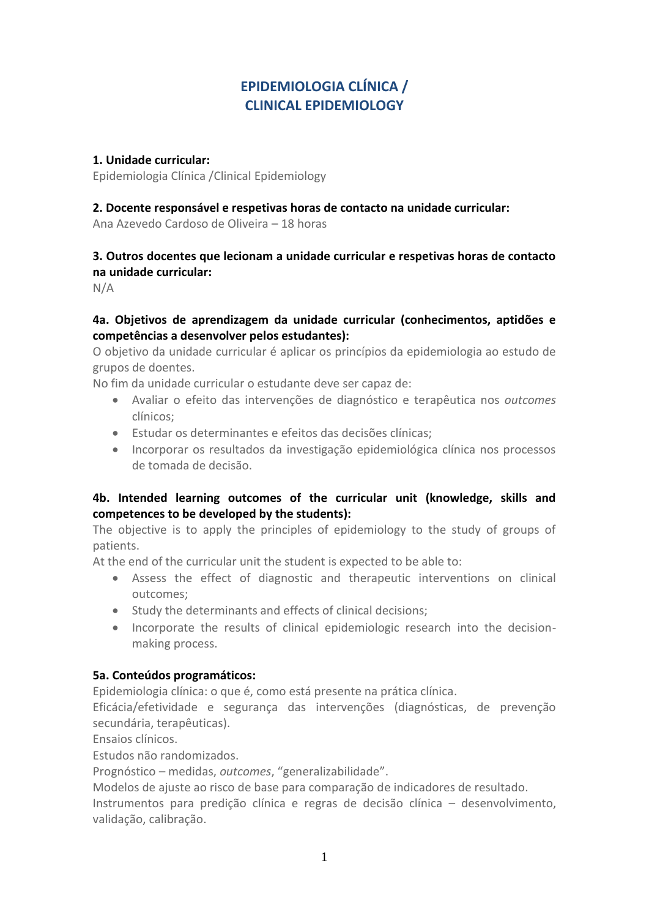# **EPIDEMIOLOGIA CLÍNICA / CLINICAL EPIDEMIOLOGY**

#### **1. Unidade curricular:**

Epidemiologia Clínica /Clinical Epidemiology

#### **2. Docente responsável e respetivas horas de contacto na unidade curricular:**

Ana Azevedo Cardoso de Oliveira – 18 horas

# **3. Outros docentes que lecionam a unidade curricular e respetivas horas de contacto na unidade curricular:**

N/A

## **4a. Objetivos de aprendizagem da unidade curricular (conhecimentos, aptidões e competências a desenvolver pelos estudantes):**

O objetivo da unidade curricular é aplicar os princípios da epidemiologia ao estudo de grupos de doentes.

No fim da unidade curricular o estudante deve ser capaz de:

- Avaliar o efeito das intervenções de diagnóstico e terapêutica nos *outcomes* clínicos;
- Estudar os determinantes e efeitos das decisões clínicas;
- Incorporar os resultados da investigação epidemiológica clínica nos processos de tomada de decisão.

## **4b. Intended learning outcomes of the curricular unit (knowledge, skills and competences to be developed by the students):**

The objective is to apply the principles of epidemiology to the study of groups of patients.

At the end of the curricular unit the student is expected to be able to:

- Assess the effect of diagnostic and therapeutic interventions on clinical outcomes;
- Study the determinants and effects of clinical decisions;
- Incorporate the results of clinical epidemiologic research into the decisionmaking process.

## **5a. Conteúdos programáticos:**

Epidemiologia clínica: o que é, como está presente na prática clínica.

Eficácia/efetividade e segurança das intervenções (diagnósticas, de prevenção secundária, terapêuticas).

Ensaios clínicos.

Estudos não randomizados.

Prognóstico – medidas, *outcomes*, "generalizabilidade".

Modelos de ajuste ao risco de base para comparação de indicadores de resultado.

Instrumentos para predição clínica e regras de decisão clínica – desenvolvimento, validação, calibração.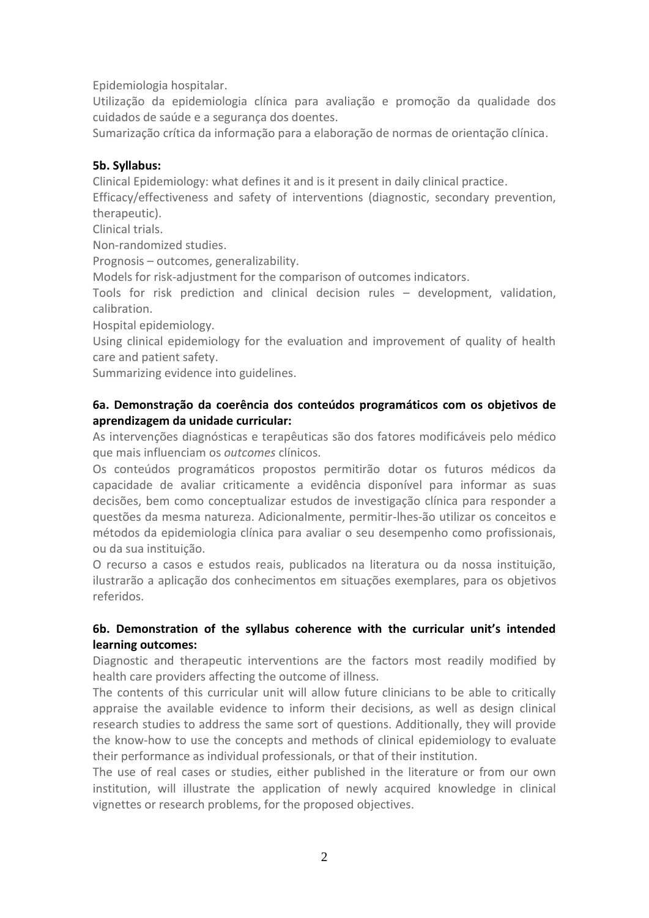Epidemiologia hospitalar.

Utilização da epidemiologia clínica para avaliação e promoção da qualidade dos cuidados de saúde e a segurança dos doentes.

Sumarização crítica da informação para a elaboração de normas de orientação clínica.

## **5b. Syllabus:**

Clinical Epidemiology: what defines it and is it present in daily clinical practice.

Efficacy/effectiveness and safety of interventions (diagnostic, secondary prevention, therapeutic).

Clinical trials.

Non-randomized studies.

Prognosis – outcomes, generalizability.

Models for risk-adjustment for the comparison of outcomes indicators.

Tools for risk prediction and clinical decision rules – development, validation, calibration.

Hospital epidemiology.

Using clinical epidemiology for the evaluation and improvement of quality of health care and patient safety.

Summarizing evidence into guidelines.

## **6a. Demonstração da coerência dos conteúdos programáticos com os objetivos de aprendizagem da unidade curricular:**

As intervenções diagnósticas e terapêuticas são dos fatores modificáveis pelo médico que mais influenciam os *outcomes* clínicos.

Os conteúdos programáticos propostos permitirão dotar os futuros médicos da capacidade de avaliar criticamente a evidência disponível para informar as suas decisões, bem como conceptualizar estudos de investigação clínica para responder a questões da mesma natureza. Adicionalmente, permitir-lhes-ão utilizar os conceitos e métodos da epidemiologia clínica para avaliar o seu desempenho como profissionais, ou da sua instituição.

O recurso a casos e estudos reais, publicados na literatura ou da nossa instituição, ilustrarão a aplicação dos conhecimentos em situações exemplares, para os objetivos referidos.

# **6b. Demonstration of the syllabus coherence with the curricular unit's intended learning outcomes:**

Diagnostic and therapeutic interventions are the factors most readily modified by health care providers affecting the outcome of illness.

The contents of this curricular unit will allow future clinicians to be able to critically appraise the available evidence to inform their decisions, as well as design clinical research studies to address the same sort of questions. Additionally, they will provide the know-how to use the concepts and methods of clinical epidemiology to evaluate their performance as individual professionals, or that of their institution.

The use of real cases or studies, either published in the literature or from our own institution, will illustrate the application of newly acquired knowledge in clinical vignettes or research problems, for the proposed objectives.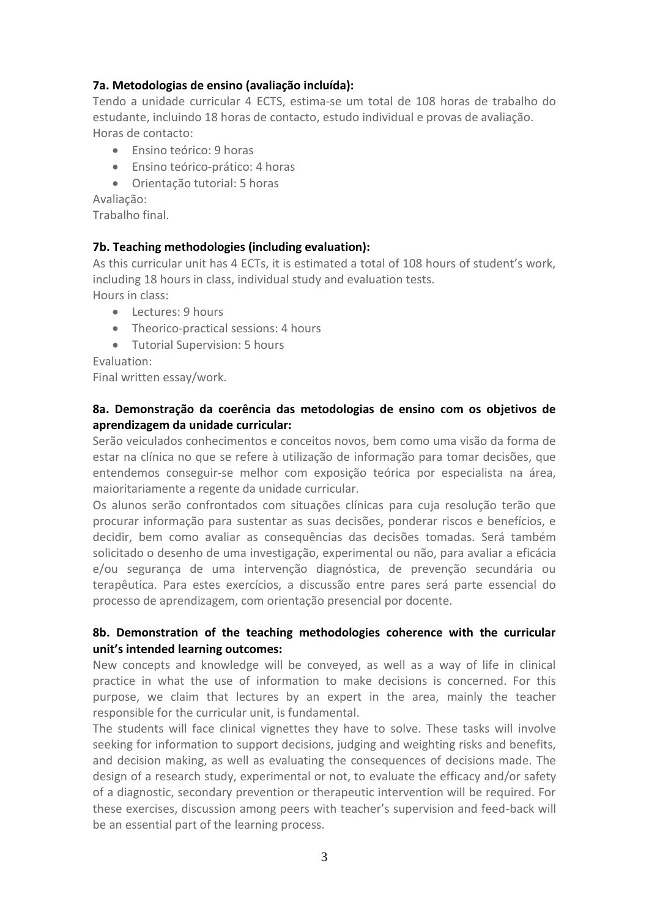#### **7a. Metodologias de ensino (avaliação incluída):**

Tendo a unidade curricular 4 ECTS, estima-se um total de 108 horas de trabalho do estudante, incluindo 18 horas de contacto, estudo individual e provas de avaliação. Horas de contacto:

- Ensino teórico: 9 horas
- Ensino teórico-prático: 4 horas
- Orientação tutorial: 5 horas

Avaliação:

Trabalho final.

#### **7b. Teaching methodologies (including evaluation):**

As this curricular unit has 4 ECTs, it is estimated a total of 108 hours of student's work, including 18 hours in class, individual study and evaluation tests. Hours in class:

- Lectures: 9 hours
- Theorico-practical sessions: 4 hours
- Tutorial Supervision: 5 hours

Evaluation:

Final written essay/work.

## **8a. Demonstração da coerência das metodologias de ensino com os objetivos de aprendizagem da unidade curricular:**

Serão veiculados conhecimentos e conceitos novos, bem como uma visão da forma de estar na clínica no que se refere à utilização de informação para tomar decisões, que entendemos conseguir-se melhor com exposição teórica por especialista na área, maioritariamente a regente da unidade curricular.

Os alunos serão confrontados com situações clínicas para cuja resolução terão que procurar informação para sustentar as suas decisões, ponderar riscos e benefícios, e decidir, bem como avaliar as consequências das decisões tomadas. Será também solicitado o desenho de uma investigação, experimental ou não, para avaliar a eficácia e/ou segurança de uma intervenção diagnóstica, de prevenção secundária ou terapêutica. Para estes exercícios, a discussão entre pares será parte essencial do processo de aprendizagem, com orientação presencial por docente.

## **8b. Demonstration of the teaching methodologies coherence with the curricular unit's intended learning outcomes:**

New concepts and knowledge will be conveyed, as well as a way of life in clinical practice in what the use of information to make decisions is concerned. For this purpose, we claim that lectures by an expert in the area, mainly the teacher responsible for the curricular unit, is fundamental.

The students will face clinical vignettes they have to solve. These tasks will involve seeking for information to support decisions, judging and weighting risks and benefits, and decision making, as well as evaluating the consequences of decisions made. The design of a research study, experimental or not, to evaluate the efficacy and/or safety of a diagnostic, secondary prevention or therapeutic intervention will be required. For these exercises, discussion among peers with teacher's supervision and feed-back will be an essential part of the learning process.